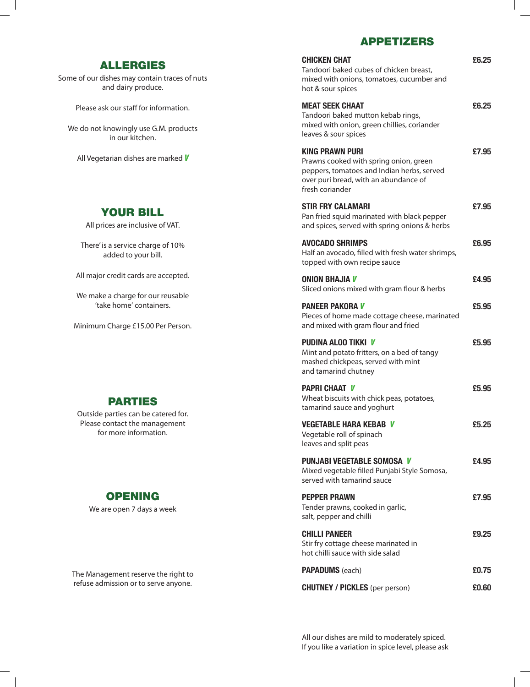#### APPETIzERS

 $\mathbf{I}$ 

| <b>CHICKEN CHAT</b><br>Tandoori baked cubes of chicken breast,<br>mixed with onions, tomatoes, cucumber and<br>hot & sour spices                                           | £6.25 |
|----------------------------------------------------------------------------------------------------------------------------------------------------------------------------|-------|
| <b>MEAT SEEK CHAAT</b><br>Tandoori baked mutton kebab rings,<br>mixed with onion, green chillies, coriander<br>leaves & sour spices                                        | £6.25 |
| <b>KING PRAWN PURI</b><br>Prawns cooked with spring onion, green<br>peppers, tomatoes and Indian herbs, served<br>over puri bread, with an abundance of<br>fresh coriander | £7.95 |
| <b>STIR FRY CALAMARI</b><br>Pan fried squid marinated with black pepper<br>and spices, served with spring onions & herbs                                                   | £7.95 |
| <b>AVOCADO SHRIMPS</b><br>Half an avocado, filled with fresh water shrimps,<br>topped with own recipe sauce                                                                | £6.95 |
| <b>ONION BHAJIA V</b><br>Sliced onions mixed with gram flour & herbs                                                                                                       | £4.95 |
| <b>PANEER PAKORA V</b><br>Pieces of home made cottage cheese, marinated<br>and mixed with gram flour and fried                                                             | £5.95 |
| <b>PUDINA ALOO TIKKI V</b><br>Mint and potato fritters, on a bed of tangy<br>mashed chickpeas, served with mint<br>and tamarind chutney                                    | £5,95 |
| <b>PAPRI CHAAT V</b><br>Wheat biscuits with chick peas, potatoes,<br>tamarind sauce and yoghurt                                                                            | £5,95 |
| <b>VEGETABLE HARA KEBAB V</b><br>Vegetable roll of spinach<br>leaves and split peas                                                                                        | £5,25 |
| <b>PUNJABI VEGETABLE SOMOSA V</b><br>Mixed vegetable filled Punjabi Style Somosa,<br>served with tamarind sauce                                                            | £4.95 |
| <b>PEPPER PRAWN</b><br>Tender prawns, cooked in garlic,<br>salt, pepper and chilli                                                                                         | £7.95 |
| <b>CHILLI PANEER</b><br>Stir fry cottage cheese marinated in<br>hot chilli sauce with side salad                                                                           | £9.25 |
| <b>PAPADUMS</b> (each)                                                                                                                                                     | £0.75 |
| <b>CHUTNEY / PICKLES</b> (per person)                                                                                                                                      | £0.60 |

All our dishes are mild to moderately spiced. If you like a variation in spice level, please ask

### ALLERGIES

Some of our dishes may contain traces of nuts and dairy produce.

Please ask our staff for information.

We do not knowingly use G.M. products in our kitchen.

All Vegetarian dishes are marked *V*

## Your Bill

All prices are inclusive of VAT.

There' is a service charge of 10% added to your bill.

All major credit cards are accepted.

We make a charge for our reusable 'take home' containers.

Minimum Charge £15.00 Per Person.

### **PARTIES**

Outside parties can be catered for. Please contact the management for more information.

### **OPENING**

We are open 7 days a week

The Management reserve the right to refuse admission or to serve anyone.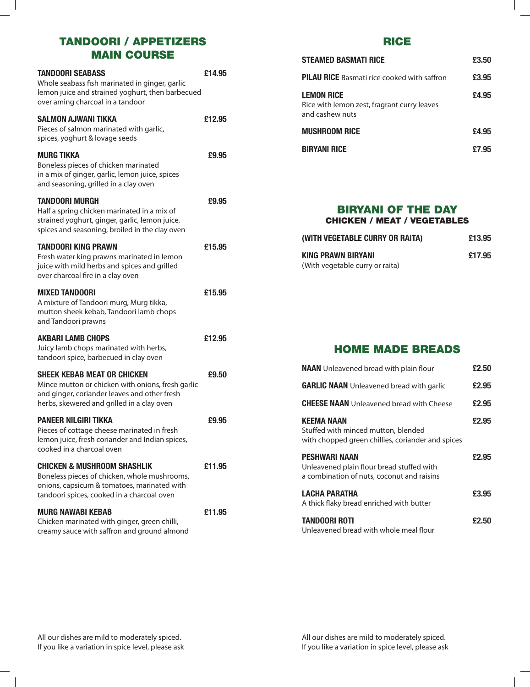# TANDOORI / APPETIZERS MAIN COURSE

| <b>TANDOORI SEABASS</b><br>Whole seabass fish marinated in ginger, garlic<br>lemon juice and strained yoghurt, then barbecued<br>over aming charcoal in a tandoor                     | £14.95 |
|---------------------------------------------------------------------------------------------------------------------------------------------------------------------------------------|--------|
| <b>SALMON AJWANI TIKKA</b><br>Pieces of salmon marinated with garlic,<br>spices, yoghurt & lovage seeds                                                                               | £12.95 |
| <b>MURG TIKKA</b><br>Boneless pieces of chicken marinated<br>in a mix of ginger, garlic, lemon juice, spices<br>and seasoning, grilled in a clay oven                                 | £9.95  |
| <b>TANDOORI MURGH</b><br>Half a spring chicken marinated in a mix of<br>strained yoghurt, ginger, garlic, lemon juice,<br>spices and seasoning, broiled in the clay oven              | £9.95  |
| <b>TANDOORI KING PRAWN</b><br>Fresh water king prawns marinated in lemon<br>juice with mild herbs and spices and grilled<br>over charcoal fire in a clay oven                         | £15.95 |
| <b>MIXED TANDOORI</b><br>A mixture of Tandoori murg, Murg tikka,<br>mutton sheek kebab, Tandoori lamb chops<br>and Tandoori prawns                                                    | £15.95 |
| <b>AKBARI LAMB CHOPS</b><br>Juicy lamb chops marinated with herbs,<br>tandoori spice, barbecued in clay oven                                                                          | £12.95 |
| <b>SHEEK KEBAB MEAT OR CHICKEN</b><br>Mince mutton or chicken with onions, fresh garlic<br>and ginger, coriander leaves and other fresh<br>herbs, skewered and grilled in a clay oven | £9.50  |
| <b>PANEER NILGIRI TIKKA</b><br>Pieces of cottage cheese marinated in fresh<br>lemon juice, fresh coriander and Indian spices,<br>cooked in a charcoal oven                            | £9.95  |
| <b>CHICKEN &amp; MUSHROOM SHASHLIK</b><br>Boneless pieces of chicken, whole mushrooms,<br>onions, capsicum & tomatoes, marinated with<br>tandoori spices, cooked in a charcoal oven   | £11.95 |
| <b>MURG NAWABI KEBAB</b><br>Chicken marinated with ginger, green chilli,<br>creamy sauce with saffron and ground almond                                                               | £11.95 |

### RICE

| Steamed Basmati Rice                                                                | £3.50 |
|-------------------------------------------------------------------------------------|-------|
| <b>PILAU RICE</b> Basmati rice cooked with saffron                                  | £3,95 |
| <b>LEMON RICE</b><br>Rice with lemon zest, fragrant curry leaves<br>and cashew nuts | £4.95 |
| <b>MUSHROOM RICE</b>                                                                | £4.95 |
| <b>BIRYANI RICE</b>                                                                 | £7.95 |

#### BIRYANI OF THE DAY Chicken / Meat / Vegetables

| (WITH VEGETABLE CURRY OR RAITA)                              | £13.95 |
|--------------------------------------------------------------|--------|
| <b>KING PRAWN BIRYANI</b><br>(With vegetable curry or raita) | £17.95 |

HOME MADE BREADS

| <b>NAAN</b> Unleavened bread with plain flour                                                                 | £2.50 |
|---------------------------------------------------------------------------------------------------------------|-------|
| <b>GARLIC NAAN</b> Unleavened bread with garlic                                                               | £2.95 |
| <b>CHEESE NAAN</b> Unleavened bread with Cheese                                                               | £2.95 |
| <b>KEEMA NAAN</b><br>Stuffed with minced mutton, blended<br>with chopped green chillies, coriander and spices | £2.95 |
| PESHWARI NAAN<br>Unleavened plain flour bread stuffed with<br>a combination of nuts, coconut and raisins      | £2.95 |
| LACHA PARATHA<br>A thick flaky bread enriched with butter                                                     | £3.95 |
| <b>TANDOORI ROTI</b><br>Unleavened bread with whole meal flour                                                | £2.50 |

 $\mathbf{L}$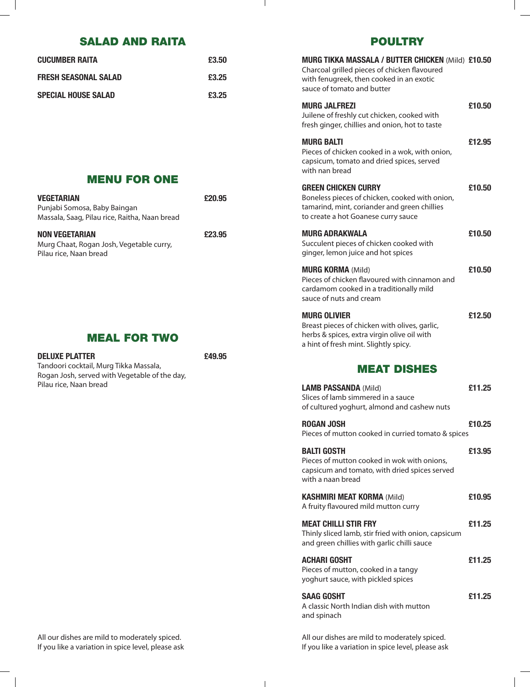# SALAD AND RAITA

| <b>CUCUMBER RAITA</b>       | £3.50 |
|-----------------------------|-------|
| <b>FRESH SEASONAL SALAD</b> | £3.25 |
| <b>SPECIAL HOUSE SALAD</b>  | £3.25 |

### POULTRY

| <b>MURG TIKKA MASSALA / BUTTER CHICKEN (Mild) £10.50</b><br>Charcoal grilled pieces of chicken flavoured<br>with fenugreek, then cooked in an exotic<br>sauce of tomato and butter |        |
|------------------------------------------------------------------------------------------------------------------------------------------------------------------------------------|--------|
| <b>MURG JALFREZI</b><br>Juilene of freshly cut chicken, cooked with<br>fresh ginger, chillies and onion, hot to taste                                                              | £10.50 |
| <b>MURG BALTI</b><br>Pieces of chicken cooked in a wok, with onion,<br>capsicum, tomato and dried spices, served<br>with nan bread                                                 | £12.95 |
| <b>GREEN CHICKEN CURRY</b><br>Boneless pieces of chicken, cooked with onion,<br>tamarind, mint, coriander and green chillies<br>to create a hot Goanese curry sauce                | £10.50 |
| <b>MURG ADRAKWALA</b><br>Succulent pieces of chicken cooked with<br>ginger, lemon juice and hot spices                                                                             | £10.50 |
| <b>MURG KORMA (Mild)</b><br>Pieces of chicken flavoured with cinnamon and<br>cardamom cooked in a traditionally mild<br>sauce of nuts and cream                                    | £10.50 |
| <b>MURG OLIVIER</b><br>Breast pieces of chicken with olives, garlic,<br>herbs & spices, extra virgin olive oil with<br>a hint of fresh mint. Slightly spicy.                       | £12.50 |
| <b>MEAT DISHES</b>                                                                                                                                                                 |        |
| <b>LAMB PASSANDA (Mild)</b><br>Slices of lamb simmered in a sauce<br>of cultured yoghurt, almond and cashew nuts                                                                   | £11.25 |
| <b>ROGAN JOSH</b><br>Pieces of mutton cooked in curried tomato & spices                                                                                                            | £10.25 |
| <b>BALTI GOSTH</b><br>Pieces of mutton cooked in wok with onions,<br>capsicum and tomato, with dried spices served<br>with a naan bread                                            | £13.95 |
| <b>KASHMIRI MEAT KORMA (Mild)</b><br>A fruity flavoured mild mutton curry                                                                                                          | £10.95 |
| <b>MEAT CHILLI STIR FRY</b><br>Thinly sliced lamb, stir fried with onion, capsicum<br>and green chillies with garlic chilli sauce                                                  | £11.25 |
| <b>ACHARI GOSHT</b><br>Pieces of mutton, cooked in a tangy<br>yoghurt sauce, with pickled spices                                                                                   | £11.25 |
| <b>SAAG GOSHT</b>                                                                                                                                                                  | £11.25 |
| A classic North Indian dish with mutton<br>and spinach                                                                                                                             |        |

MENU FOR ONE

| VEGETARIAN                                                                                  | £20.95 |
|---------------------------------------------------------------------------------------------|--------|
| Punjabi Somosa, Baby Baingan<br>Massala, Saag, Pilau rice, Raitha, Naan bread               |        |
| <b>NON VEGETARIAN</b><br>Murg Chaat, Rogan Josh, Vegetable curry,<br>Pilau rice, Naan bread | £23.95 |

#### MEAL FOR TWO

**DELUXE PLATTER £49.95**

 $\mathbb{R}^n$ 

| <b>DELUXE PLATTER</b>                         |
|-----------------------------------------------|
| Tandoori cocktail, Murg Tikka Massala,        |
| Rogan Josh, served with Vegetable of the day, |
| Pilau rice, Naan bread                        |

All our dishes are mild to moderately spiced. If you like a variation in spice level, please ask All our dishes are mild to moderately spiced. If you like a variation in spice level, please ask